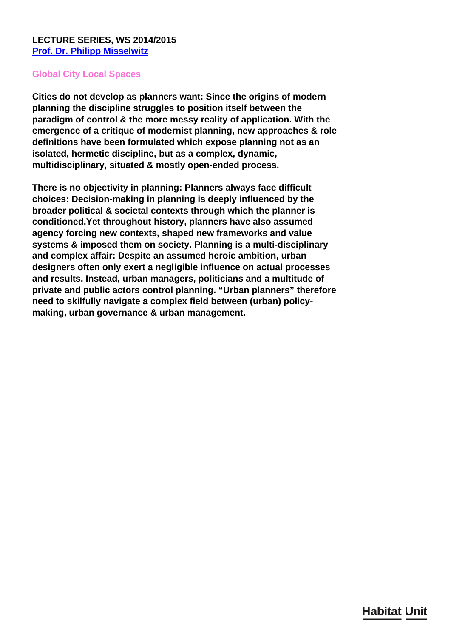## **Global City Local Spaces**

**Cities do not develop as planners want: Since the origins of modern planning the discipline struggles to position itself between the paradigm of control & the more messy reality of application. With the emergence of a critique of modernist planning, new approaches & role definitions have been formulated which expose planning not as an isolated, hermetic discipline, but as a complex, dynamic, multidisciplinary, situated & mostly open-ended process.**

**There is no objectivity in planning: Planners always face difficult choices: Decision-making in planning is deeply influenced by the broader political & societal contexts through which the planner is conditioned.Yet throughout history, planners have also assumed agency forcing new contexts, shaped new frameworks and value systems & imposed them on society. Planning is a multi-disciplinary and complex affair: Despite an assumed heroic ambition, urban designers often only exert a negligible influence on actual processes and results. Instead, urban managers, politicians and a multitude of private and public actors control planning. "Urban planners" therefore need to skilfully navigate a complex field between (urban) policymaking, urban governance & urban management.**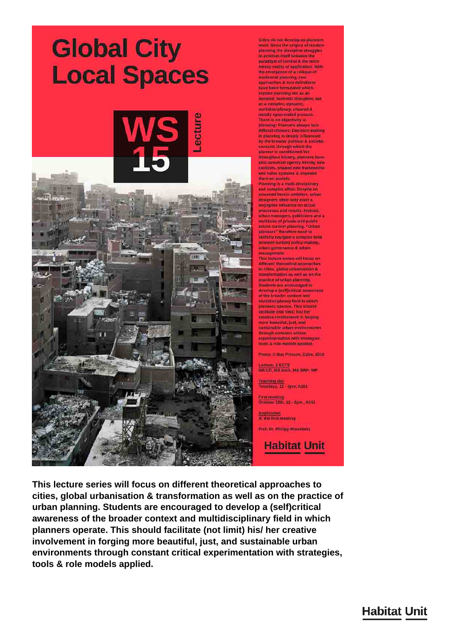## **Global City Local Spaces**



Cities do not develop as planners<br>want: Since the origins of modern planning the discipline struggles to position itself natween the parattigm of control 4 the more<br>messy reality of application. With the emergence of a critique of **Ingressabes & role definitions**<br>have been formulated which expose planning not as an isolated: hermotic discipline: but as a complex; dynamic multidisciplinary, situated a mestly open-ended process There is no objectivity in planning: Planners always face difficult choices: Decision-making in plainting is deeply influenced by the troader political & societal contexts through which the planner is conditioned.Yet throughout history, planners have also assumed agency forcing new contexts, shaped mow frameworks and value avstams & imposed them on society.

Planning is a multi-disciplinary and complex affair. Despite an assumed bergic ambition, organ designers often only exert a negligible influence on actual processes and results. Instead orban managers, politicians and a<br>multitude of private and public actors control planning. "Uthan planners" therefore need to skiltuliy navigate a complex field<br>between (urban) policy-making,  $\begin{minipage}{.4\linewidth} \textbf{unbar} \gets \textbf{up} \times \textbf{up} \times \textbf{up} \times \textbf{up} \times \textbf{up} \times \textbf{up} \times \textbf{up} \times \textbf{up} \times \textbf{up} \times \textbf{up} \times \textbf{up} \times \textbf{up} \times \textbf{up} \times \textbf{up} \times \textbf{up} \times \textbf{up} \times \textbf{up} \times \textbf{up} \times \textbf{up} \times \textbf{up} \times \textbf{up} \times \textbf{up} \times \textbf{up} \times \textbf{up} \times \textbf{up} \$ 

This lecture sories will focus on different theoretical approaches to cities, global urbanisation  $\&$ <br>transformation as well as on the practice of urban planning Students are encouraged to develop a (self)antical awareness<br>of the broader context and endbilissiplinary field in which<br>planners operate. This should tacilitate (not limit) his! her creative involvement in forging more beautiful, just, and sustainable urban environments through constant critical<br>experimentation with strategies tools & role models applied

Photo: Bas Princen, Calio, 2010

Lecture, 3 ECTS<br>MA UD, MA Arch, MA SRP: WP

Teaching day<br>Tuasdays, 12 - 2mm, A3E1

First meeting<br>October 13th, 12 - 2pm , A151

**Application**<br>At the first meeting

Prot. Dr. Philipp Missebuitz

**Habitat Unit** 

This lecture series will focus on different theoretical approaches to cities, global urbanisation & transformation as well as on the practice of urban planning. Students are encouraged to develop a (self)critical awareness of the broader context and multidisciplinary field in which planners operate. This should facilitate (not limit) his/ her creative involvement in forging more beautiful, just, and sustainable urban environments through constant critical experimentation with strategies. tools & role models applied.

## **Habitat Unit**